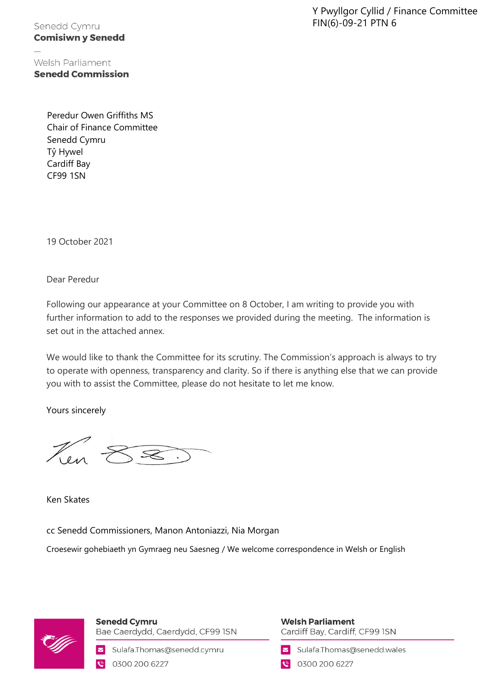Y Pwyllgor Cyllid / Finance Committee FIN(6)-09-21 PTN 6

Senedd Cymru **Comisiwn y Senedd** 

Welsh Parliament **Senedd Commission** 

> Peredur Owen Griffiths MS Chair of Finance Committee Senedd Cymru Tŷ Hywel Cardiff Bay CF99 1SN

19 October 2021

Dear Peredur

Following our appearance at your Committee on 8 October, I am writing to provide you with further information to add to the responses we provided during the meeting. The information is set out in the attached annex.

We would like to thank the Committee for its scrutiny. The Commission's approach is always to try to operate with openness, transparency and clarity. So if there is anything else that we can provide you with to assist the Committee, please do not hesitate to let me know.

Yours sincerely

Len

Ken Skates

cc Senedd Commissioners, Manon Antoniazzi, Nia Morgan

Croesewir gohebiaeth yn Gymraeg neu Saesneg / We welcome correspondence in Welsh or English



**Senedd Cymru** Bae Caerdydd, Caerdydd, CF99 ISN

Sulafa.Thomas@senedd.cymru ◘ 0300 200 6227

**Welsh Parliament** Cardiff Bay, Cardiff, CF99 ISN

Sulafa.Thomas@senedd.wales

● 0300 200 6227